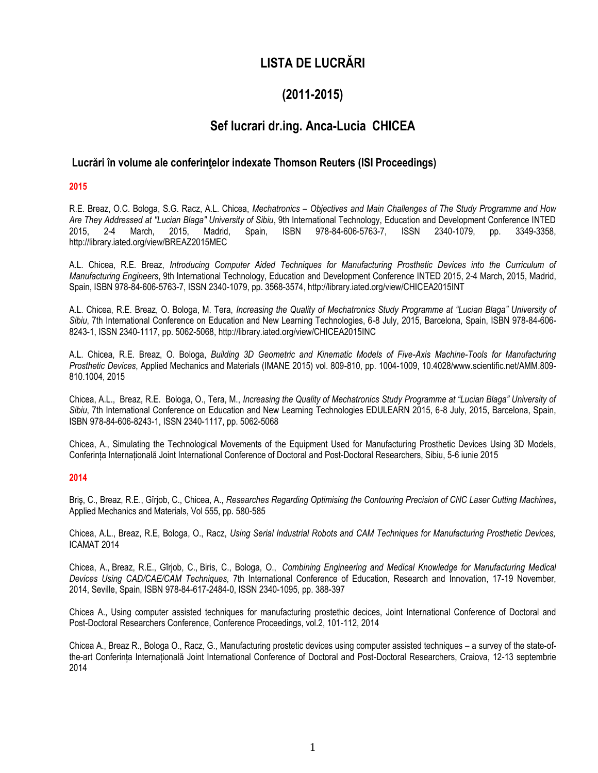# **LISTA DE LUCRĂRI**

# **(2011-2015)**

# **Sef lucrari dr.ing. Anca-Lucia CHICEA**

# **Lucrări în volume ale conferinţelor indexate Thomson Reuters (ISI Proceedings)**

## **2015**

R.E. Breaz, O.C. Bologa, S.G. Racz, A.L. Chicea, *Mechatronics – Objectives and Main Challenges of The Study Programme and How Are They Addressed at "Lucian Blaga" University of Sibiu*, 9th International Technology, Education and Development Conference INTED 2015, 2-4 March, 2015, Madrid, Spain, ISBN 978-84-606-5763-7, ISSN 2340-1079, pp. 3349-3358, http://library.iated.org/view/BREAZ2015MEC

A.L. Chicea, R.E. Breaz, *Introducing Computer Aided Techniques for Manufacturing Prosthetic Devices into the Curriculum of Manufacturing Engineers*, 9th International Technology, Education and Development Conference INTED 2015, 2-4 March, 2015, Madrid, Spain, ISBN 978-84-606-5763-7, ISSN 2340-1079, pp. 3568-3574, http://library.iated.org/view/CHICEA2015INT

A.L. Chicea, R.E. Breaz, O. Bologa, M. Tera, *Increasing the Quality of Mechatronics Study Programme at "Lucian Blaga" University of Sibiu*, 7th International Conference on Education and New Learning Technologies, 6-8 July, 2015, Barcelona, Spain, ISBN 978-84-606- 8243-1, ISSN 2340-1117, pp. 5062-5068, http://library.iated.org/view/CHICEA2015INC

A.L. Chicea, R.E. Breaz, O. Bologa, *Building 3D Geometric and Kinematic Models of Five-Axis Machine-Tools for Manufacturing Prosthetic Devices*, Applied Mechanics and Materials (IMANE 2015) vol. 809-810, pp. 1004-1009, 10.4028/www.scientific.net/AMM.809- 810.1004, 2015

Chicea, A.L., Breaz, R.E. Bologa, O., Tera, M., *Increasing the Quality of Mechatronics Study Programme at "Lucian Blaga" University of Sibiu*, 7th International Conference on Education and New Learning Technologies EDULEARN 2015, 6-8 July, 2015, Barcelona, Spain, ISBN 978-84-606-8243-1, ISSN 2340-1117, pp. 5062-5068

Chicea, A., Simulating the Technological Movements of the Equipment Used for Manufacturing Prosthetic Devices Using 3D Models, Conferința Internațională Joint International Conference of Doctoral and Post-Doctoral Researchers, Sibiu, 5-6 iunie 2015

### **2014**

Briş, C., Breaz, R.E., Gîrjob, C., Chicea, A., *Researches Regarding Optimising the Contouring Precision of CNC Laser Cutting Machines***,**  Applied Mechanics and Materials, Vol 555, pp. 580-585

Chicea, A.L., Breaz, R.E, Bologa, O., Racz, *Using Serial Industrial Robots and CAM Techniques for Manufacturing Prosthetic Devices,*  ICAMAT 2014

Chicea, A., Breaz, R.E., Gîrjob, C., Biris, C., Bologa, O., *Combining Engineering and Medical Knowledge for Manufacturing Medical Devices Using CAD/CAE/CAM Techniques,* 7th International Conference of Education, Research and Innovation, 17-19 November, 2014, Seville, Spain, ISBN 978-84-617-2484-0, ISSN 2340-1095, pp. 388-397

Chicea A., Using computer assisted techniques for manufacturing prostethic decices, Joint International Conference of Doctoral and Post-Doctoral Researchers Conference, Conference Proceedings, vol.2, 101-112, 2014

Chicea A., Breaz R., Bologa O., Racz, G., Manufacturing prostetic devices using computer assisted techniques – a survey of the state-ofthe-art Conferința Internațională Joint International Conference of Doctoral and Post-Doctoral Researchers, Craiova, 12-13 septembrie 2014